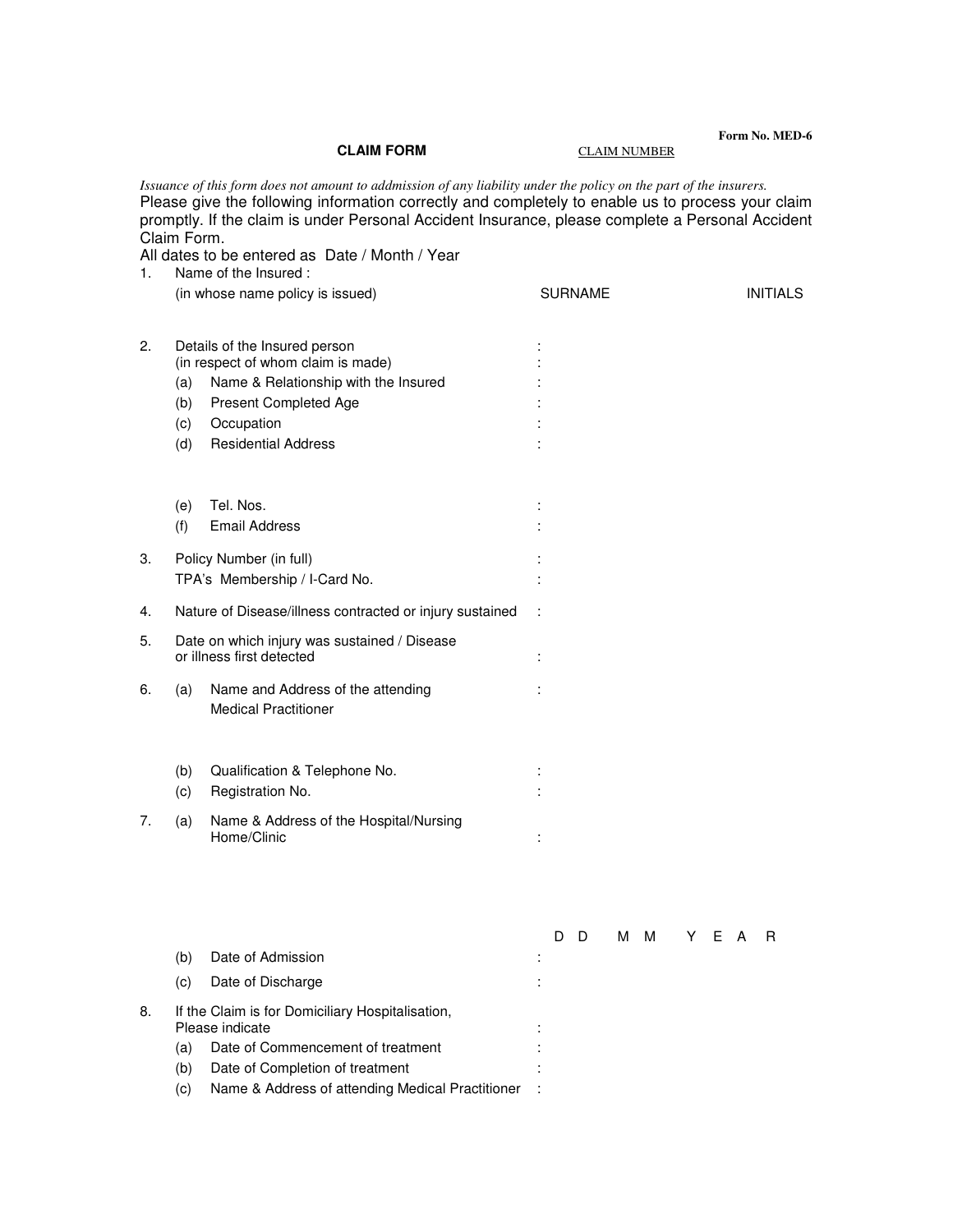## **CLAIM FORM CLAIM NUMBER**

**Form No. MED-6** 

|    | Claim Form.                                                               | Issuance of this form does not amount to addmission of any liability under the policy on the part of the insurers.<br>Please give the following information correctly and completely to enable us to process your claim<br>promptly. If the claim is under Personal Accident Insurance, please complete a Personal Accident<br>All dates to be entered as Date / Month / Year |  |                |   |  |     |  |       |                 |    |  |  |
|----|---------------------------------------------------------------------------|-------------------------------------------------------------------------------------------------------------------------------------------------------------------------------------------------------------------------------------------------------------------------------------------------------------------------------------------------------------------------------|--|----------------|---|--|-----|--|-------|-----------------|----|--|--|
| 1. |                                                                           | Name of the Insured:                                                                                                                                                                                                                                                                                                                                                          |  |                |   |  |     |  |       |                 |    |  |  |
|    | (in whose name policy is issued)                                          |                                                                                                                                                                                                                                                                                                                                                                               |  | <b>SURNAME</b> |   |  |     |  |       | <b>INITIALS</b> |    |  |  |
|    |                                                                           |                                                                                                                                                                                                                                                                                                                                                                               |  |                |   |  |     |  |       |                 |    |  |  |
| 2. | Details of the Insured person<br>(in respect of whom claim is made)       |                                                                                                                                                                                                                                                                                                                                                                               |  |                |   |  |     |  |       |                 |    |  |  |
|    | (a)                                                                       | Name & Relationship with the Insured                                                                                                                                                                                                                                                                                                                                          |  |                |   |  |     |  |       |                 |    |  |  |
|    | (b)                                                                       | Present Completed Age                                                                                                                                                                                                                                                                                                                                                         |  |                |   |  |     |  |       |                 |    |  |  |
|    | (c)                                                                       | Occupation                                                                                                                                                                                                                                                                                                                                                                    |  |                |   |  |     |  |       |                 |    |  |  |
|    | (d)                                                                       | <b>Residential Address</b>                                                                                                                                                                                                                                                                                                                                                    |  |                |   |  |     |  |       |                 |    |  |  |
|    |                                                                           |                                                                                                                                                                                                                                                                                                                                                                               |  |                |   |  |     |  |       |                 |    |  |  |
|    |                                                                           |                                                                                                                                                                                                                                                                                                                                                                               |  |                |   |  |     |  |       |                 |    |  |  |
|    | (e)                                                                       | Tel. Nos.                                                                                                                                                                                                                                                                                                                                                                     |  |                |   |  |     |  |       |                 |    |  |  |
|    | (f)                                                                       | <b>Email Address</b>                                                                                                                                                                                                                                                                                                                                                          |  |                |   |  |     |  |       |                 |    |  |  |
| 3. | Policy Number (in full)                                                   |                                                                                                                                                                                                                                                                                                                                                                               |  |                |   |  |     |  |       |                 |    |  |  |
|    | TPA's Membership / I-Card No.                                             |                                                                                                                                                                                                                                                                                                                                                                               |  |                |   |  |     |  |       |                 |    |  |  |
| 4. | Nature of Disease/illness contracted or injury sustained                  |                                                                                                                                                                                                                                                                                                                                                                               |  |                |   |  |     |  |       |                 |    |  |  |
| 5. | Date on which injury was sustained / Disease<br>or illness first detected |                                                                                                                                                                                                                                                                                                                                                                               |  |                |   |  |     |  |       |                 |    |  |  |
| 6. | (a)                                                                       | Name and Address of the attending<br><b>Medical Practitioner</b>                                                                                                                                                                                                                                                                                                              |  |                |   |  |     |  |       |                 |    |  |  |
|    | (b)                                                                       | Qualification & Telephone No.                                                                                                                                                                                                                                                                                                                                                 |  |                |   |  |     |  |       |                 |    |  |  |
|    | (c)                                                                       | Registration No.                                                                                                                                                                                                                                                                                                                                                              |  |                |   |  |     |  |       |                 |    |  |  |
| 7. | (a)                                                                       | Name & Address of the Hospital/Nursing<br>Home/Clinic                                                                                                                                                                                                                                                                                                                         |  |                |   |  |     |  |       |                 |    |  |  |
|    |                                                                           |                                                                                                                                                                                                                                                                                                                                                                               |  |                |   |  |     |  |       |                 |    |  |  |
|    |                                                                           |                                                                                                                                                                                                                                                                                                                                                                               |  | D              | D |  | M M |  | Y E A |                 | R. |  |  |
|    | (b)                                                                       | Date of Admission                                                                                                                                                                                                                                                                                                                                                             |  |                |   |  |     |  |       |                 |    |  |  |
|    | (c)                                                                       | Date of Discharge                                                                                                                                                                                                                                                                                                                                                             |  |                |   |  |     |  |       |                 |    |  |  |
| 8. |                                                                           | If the Claim is for Domiciliary Hospitalisation,<br>Please indicate                                                                                                                                                                                                                                                                                                           |  |                |   |  |     |  |       |                 |    |  |  |
|    | (a)                                                                       | Date of Commencement of treatment                                                                                                                                                                                                                                                                                                                                             |  |                |   |  |     |  |       |                 |    |  |  |

- (b) Date of Completion of treatment :
- (c) Name & Address of attending Medical Practitioner :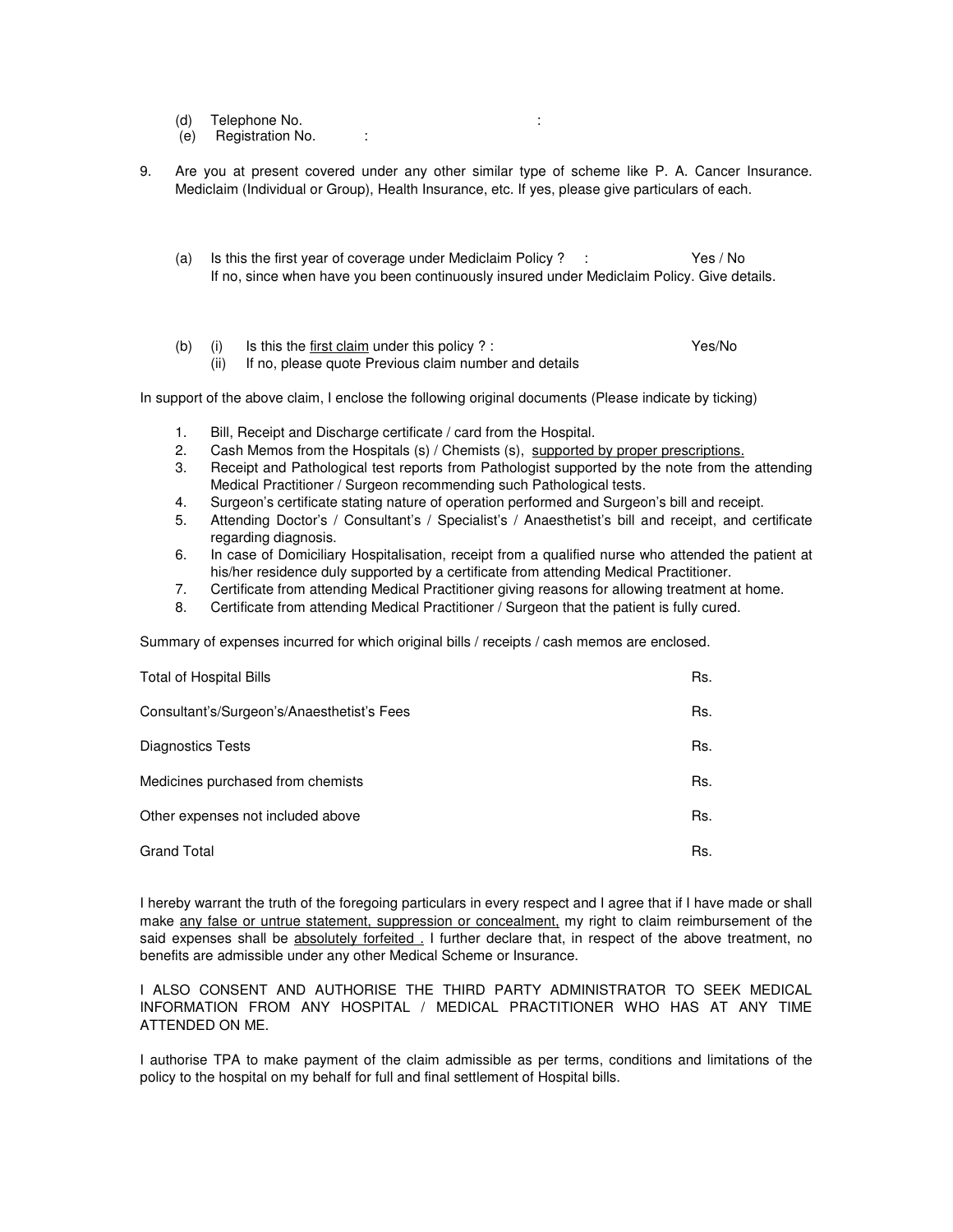- (d) Telephone No. :
- (e) Registration No. :
- 9. Are you at present covered under any other similar type of scheme like P. A. Cancer Insurance. Mediclaim (Individual or Group), Health Insurance, etc. If yes, please give particulars of each.
	- (a) Is this the first year of coverage under Mediclaim Policy ? : Yes / No If no, since when have you been continuously insured under Mediclaim Policy. Give details.
	- (b) (i) Is this the first claim under this policy ? : Yes/No

(ii) If no, please quote Previous claim number and details

In support of the above claim, I enclose the following original documents (Please indicate by ticking)

- 1. Bill, Receipt and Discharge certificate / card from the Hospital.
- 2. Cash Memos from the Hospitals (s) / Chemists (s), supported by proper prescriptions.
- 3. Receipt and Pathological test reports from Pathologist supported by the note from the attending Medical Practitioner / Surgeon recommending such Pathological tests.
- 4. Surgeon's certificate stating nature of operation performed and Surgeon's bill and receipt.
- 5. Attending Doctor's / Consultant's / Specialist's / Anaesthetist's bill and receipt, and certificate regarding diagnosis.
- 6. In case of Domiciliary Hospitalisation, receipt from a qualified nurse who attended the patient at his/her residence duly supported by a certificate from attending Medical Practitioner.
- 7. Certificate from attending Medical Practitioner giving reasons for allowing treatment at home.
- 8. Certificate from attending Medical Practitioner / Surgeon that the patient is fully cured.

Summary of expenses incurred for which original bills / receipts / cash memos are enclosed.

| <b>Total of Hospital Bills</b>             | Rs. |
|--------------------------------------------|-----|
| Consultant's/Surgeon's/Anaesthetist's Fees | Rs. |
| Diagnostics Tests                          | Rs. |
| Medicines purchased from chemists          | Rs. |
| Other expenses not included above          | Rs. |
| <b>Grand Total</b>                         | Rs. |

I hereby warrant the truth of the foregoing particulars in every respect and I agree that if I have made or shall make any false or untrue statement, suppression or concealment, my right to claim reimbursement of the said expenses shall be absolutely forfeited. I further declare that, in respect of the above treatment, no benefits are admissible under any other Medical Scheme or Insurance.

I ALSO CONSENT AND AUTHORISE THE THIRD PARTY ADMINISTRATOR TO SEEK MEDICAL INFORMATION FROM ANY HOSPITAL / MEDICAL PRACTITIONER WHO HAS AT ANY TIME ATTENDED ON ME.

I authorise TPA to make payment of the claim admissible as per terms, conditions and limitations of the policy to the hospital on my behalf for full and final settlement of Hospital bills.